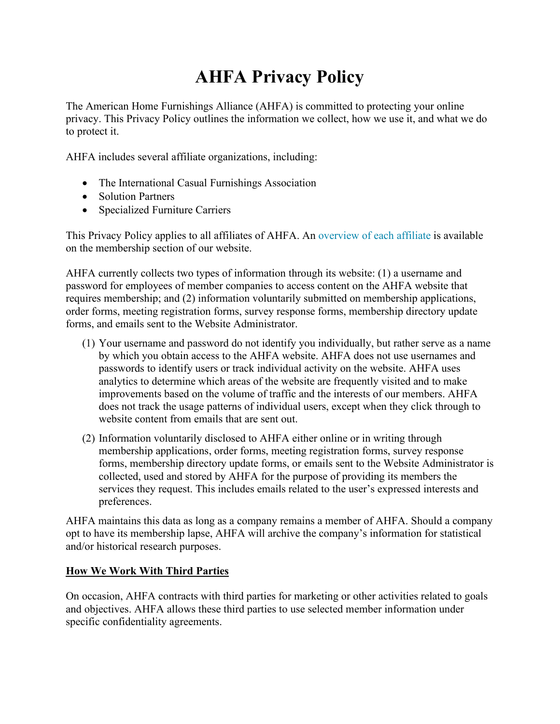# **AHFA Privacy Policy**

The American Home Furnishings Alliance (AHFA) is committed to protecting your online privacy. This Privacy Policy outlines the information we collect, how we use it, and what we do to protect it.

AHFA includes several affiliate organizations, including:

- The International Casual Furnishings Association
- Solution Partners
- Specialized Furniture Carriers

This Privacy Policy applies to all affiliates of AHFA. An [overview of each affiliate](https://www.ahfa.us/what-we-do/become-a-member) is available on the membership section of our website.

AHFA currently collects two types of information through its website: (1) a username and password for employees of member companies to access content on the AHFA website that requires membership; and (2) information voluntarily submitted on membership applications, order forms, meeting registration forms, survey response forms, membership directory update forms, and emails sent to the Website Administrator.

- (1) Your username and password do not identify you individually, but rather serve as a name by which you obtain access to the AHFA website. AHFA does not use usernames and passwords to identify users or track individual activity on the website. AHFA uses analytics to determine which areas of the website are frequently visited and to make improvements based on the volume of traffic and the interests of our members. AHFA does not track the usage patterns of individual users, except when they click through to website content from emails that are sent out.
- (2) Information voluntarily disclosed to AHFA either online or in writing through membership applications, order forms, meeting registration forms, survey response forms, membership directory update forms, or emails sent to the Website Administrator is collected, used and stored by AHFA for the purpose of providing its members the services they request. This includes emails related to the user's expressed interests and preferences.

AHFA maintains this data as long as a company remains a member of AHFA. Should a company opt to have its membership lapse, AHFA will archive the company's information for statistical and/or historical research purposes.

### **How We Work With Third Parties**

On occasion, AHFA contracts with third parties for marketing or other activities related to goals and objectives. AHFA allows these third parties to use selected member information under specific confidentiality agreements.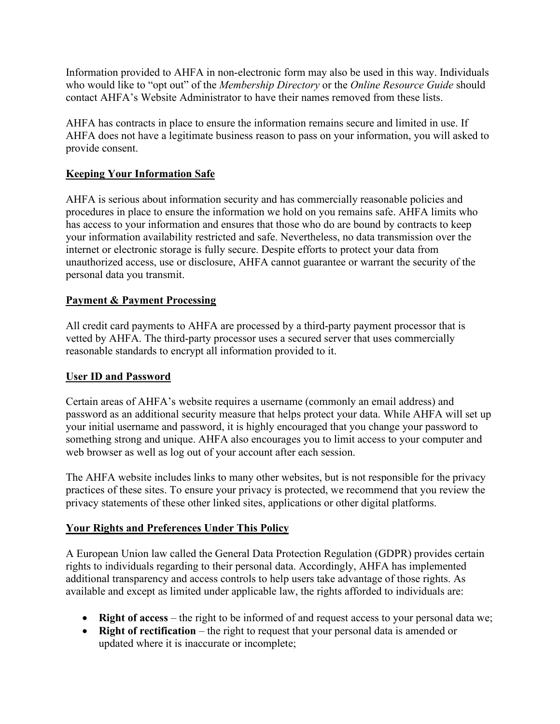Information provided to AHFA in non-electronic form may also be used in this way. Individuals who would like to "opt out" of the *Membership Directory* or the *Online Resource Guide* should contact AHFA's Website Administrator to have their names removed from these lists.

AHFA has contracts in place to ensure the information remains secure and limited in use. If AHFA does not have a legitimate business reason to pass on your information, you will asked to provide consent.

# **Keeping Your Information Safe**

AHFA is serious about information security and has commercially reasonable policies and procedures in place to ensure the information we hold on you remains safe. AHFA limits who has access to your information and ensures that those who do are bound by contracts to keep your information availability restricted and safe. Nevertheless, no data transmission over the internet or electronic storage is fully secure. Despite efforts to protect your data from unauthorized access, use or disclosure, AHFA cannot guarantee or warrant the security of the personal data you transmit.

# **Payment & Payment Processing**

All credit card payments to AHFA are processed by a third-party payment processor that is vetted by AHFA. The third-party processor uses a secured server that uses commercially reasonable standards to encrypt all information provided to it.

### **User ID and Password**

Certain areas of AHFA's website requires a username (commonly an email address) and password as an additional security measure that helps protect your data. While AHFA will set up your initial username and password, it is highly encouraged that you change your password to something strong and unique. AHFA also encourages you to limit access to your computer and web browser as well as log out of your account after each session.

The AHFA website includes links to many other websites, but is not responsible for the privacy practices of these sites. To ensure your privacy is protected, we recommend that you review the privacy statements of these other linked sites, applications or other digital platforms.

### **Your Rights and Preferences Under This Policy**

A European Union law called the General Data Protection Regulation (GDPR) provides certain rights to individuals regarding to their personal data. Accordingly, AHFA has implemented additional transparency and access controls to help users take advantage of those rights. As available and except as limited under applicable law, the rights afforded to individuals are:

- **Right of access** the right to be informed of and request access to your personal data we;
- **Right of rectification** the right to request that your personal data is amended or updated where it is inaccurate or incomplete;